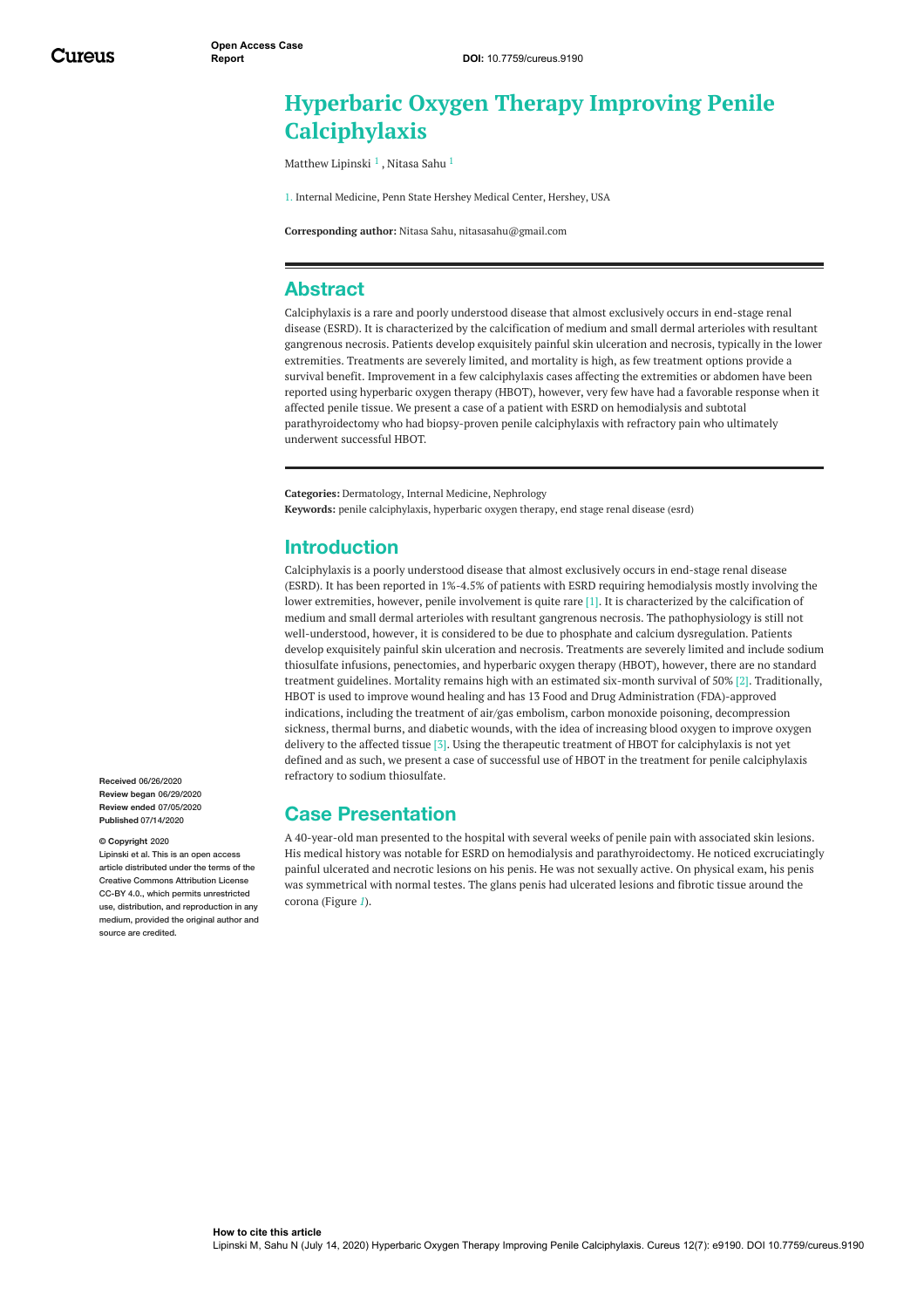# **Hyperbaric Oxygen Therapy Improving Penile Calciphylaxis**

[Matthew](https://www.cureus.com/users/124721-matthew-lipinski) Lipinski <sup>1</sup> , [Nitasa](https://www.cureus.com/users/111291-nitasa-sahu) Sahu <sup>1</sup>

1. Internal Medicine, Penn State Hershey Medical Center, Hershey, USA

**Corresponding author:** Nitasa Sahu, nitasasahu@gmail.com

## **Abstract**

Calciphylaxis is a rare and poorly understood disease that almost exclusively occurs in end-stage renal disease (ESRD). It is characterized by the calcification of medium and small dermal arterioles with resultant gangrenous necrosis. Patients develop exquisitely painful skin ulceration and necrosis, typically in the lower extremities. Treatments are severely limited, and mortality is high, as few treatment options provide a survival benefit. Improvement in a few calciphylaxis cases affecting the extremities or abdomen have been reported using hyperbaric oxygen therapy (HBOT), however, very few have had a favorable response when it affected penile tissue. We present a case of a patient with ESRD on hemodialysis and subtotal parathyroidectomy who had biopsy-proven penile calciphylaxis with refractory pain who ultimately underwent successful HBOT.

**Categories:** Dermatology, Internal Medicine, Nephrology **Keywords:** penile calciphylaxis, hyperbaric oxygen therapy, end stage renal disease (esrd)

### **Introduction**

Calciphylaxis is a poorly understood disease that almost exclusively occurs in end-stage renal disease (ESRD). It has been reported in 1%-4.5% of patients with ESRD requiring hemodialysis mostly involving the lower extremities, however, penile involvement is quite rare [1]. It is characterized by the calcification of medium and small dermal arterioles with resultant gangrenous necrosis. The pathophysiology is still not well-understood, however, it is considered to be due to phosphate and calcium dysregulation. Patients develop exquisitely painful skin ulceration and necrosis. Treatments are severely limited and include sodium thiosulfate infusions, penectomies, and hyperbaric oxygen therapy (HBOT), however, there are no standard treatment guidelines. Mortality remains high with an estimated six-month survival of 50% [2]. Traditionally, HBOT is used to improve wound healing and has 13 Food and Drug Administration (FDA)-approved indications, including the treatment of air/gas embolism, carbon monoxide poisoning, decompression sickness, thermal burns, and diabetic wounds, with the idea of increasing blood oxygen to improve oxygen delivery to the affected tissue [3]. Using the therapeutic treatment of HBOT for calciphylaxis is not yet defined and as such, we present a case of successful use of HBOT in the treatment for penile calciphylaxis refractory to sodium thiosulfate.

## **Case Presentation**

A 40-year-old man presented to the hospital with several weeks of penile pain with associated skin lesions. His medical history was notable for ESRD on hemodialysis and parathyroidectomy. He noticed excruciatingly painful ulcerated and necrotic lesions on his penis. He was not sexually active. On physical exam, his penis was symmetrical with normal testes. The glans penis had ulcerated lesions and fibrotic tissue around the corona (Figure *[1](#page-1-0)*).

**Received** 06/26/2020 **Review began** 06/29/2020 **Review ended** 07/05/2020 **Published** 07/14/2020

#### **© Copyright** 2020

Lipinski et al. This is an open access article distributed under the terms of the Creative Commons Attribution License CC-BY 4.0., which permits unrestricted use, distribution, and reproduction in any medium, provided the original author and source are credited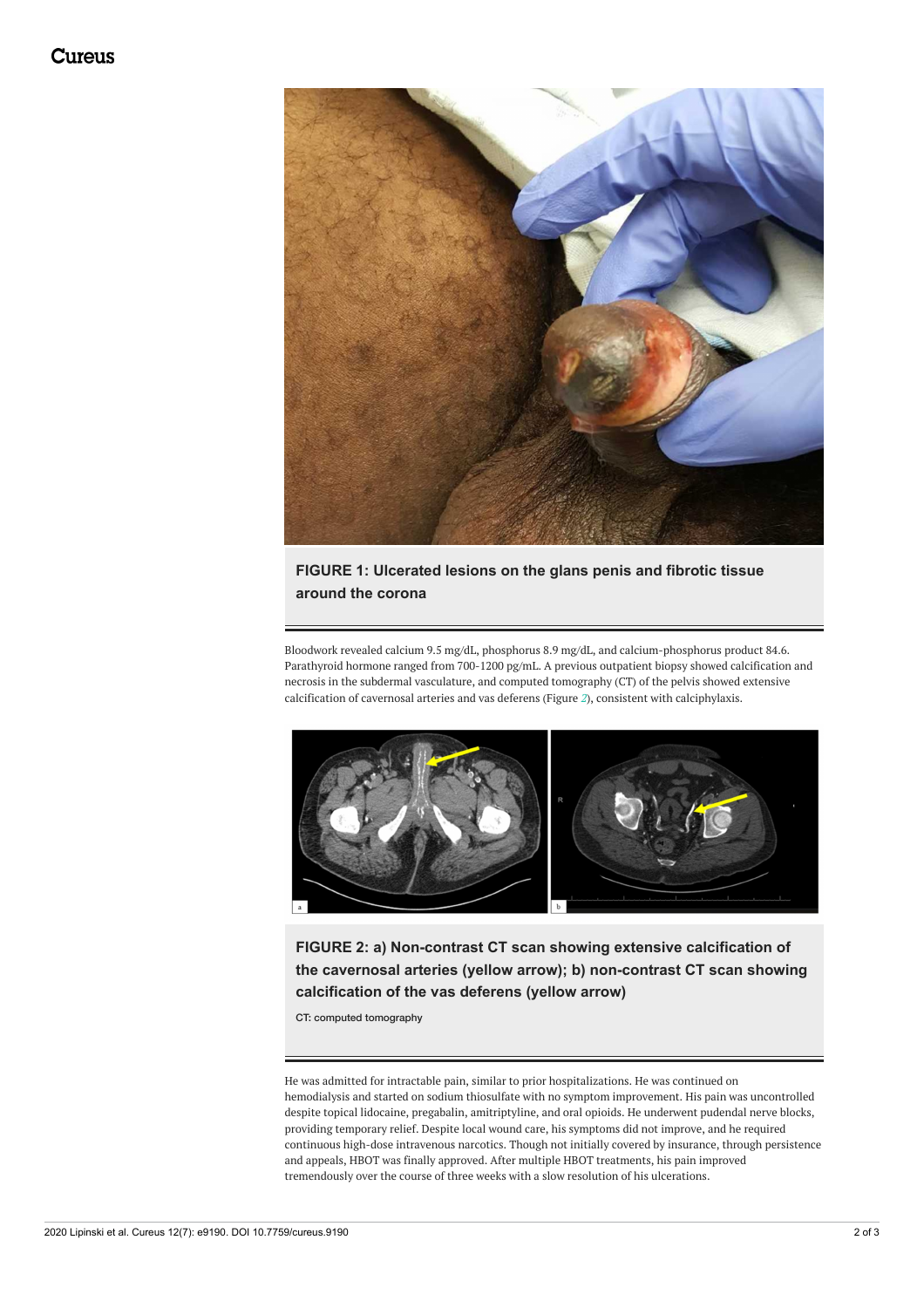<span id="page-1-0"></span>

### **FIGURE 1: Ulcerated lesions on the glans penis and fibrotic tissue around the corona**

Bloodwork revealed calcium 9.5 mg/dL, phosphorus 8.9 mg/dL, and calcium-phosphorus product 84.6. Parathyroid hormone ranged from 700-1200 pg/mL. A previous outpatient biopsy showed calcification and necrosis in the subdermal vasculature, and computed tomography (CT) of the pelvis showed extensive calcification of cavernosal arteries and vas deferens (Figure *[2](#page-1-1)*), consistent with calciphylaxis.

<span id="page-1-1"></span>

**FIGURE 2: a) Non-contrast CT scan showing extensive calcification of the cavernosal arteries (yellow arrow); b) non-contrast CT scan showing calcification of the vas deferens (yellow arrow)**

CT: computed tomography

He was admitted for intractable pain, similar to prior hospitalizations. He was continued on hemodialysis and started on sodium thiosulfate with no symptom improvement. His pain was uncontrolled despite topical lidocaine, pregabalin, amitriptyline, and oral opioids. He underwent pudendal nerve blocks, providing temporary relief. Despite local wound care, his symptoms did not improve, and he required continuous high-dose intravenous narcotics. Though not initially covered by insurance, through persistence and appeals, HBOT was finally approved. After multiple HBOT treatments, his pain improved tremendously over the course of three weeks with a slow resolution of his ulcerations.